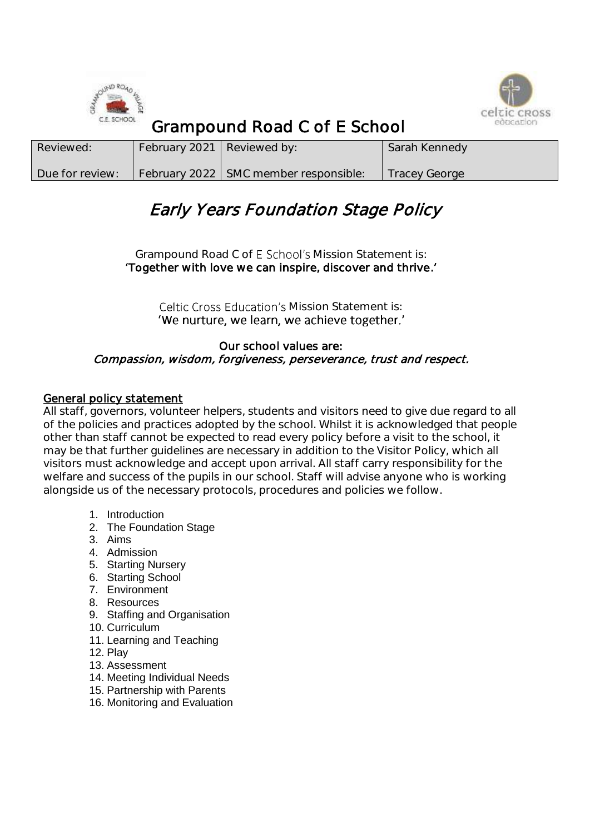



# Grampound Road C of E School

| Reviewed:       | February 2021 Reviewed by: |                                         | Sarah Kennedy        |
|-----------------|----------------------------|-----------------------------------------|----------------------|
| Due for review: |                            | February 2022   SMC member responsible: | <b>Tracey George</b> |

# Early Years Foundation Stage Policy

Grampound Road C of E School's Mission Statement is: Together with love we can inspire, discover and thrive.

> Celtic Cross Education's Mission Statement is: 'We nurture, we learn, we achieve together.'

#### Our school values are: Compassion, wisdom, forgiveness, perseverance, trust and respect.

## General policy statement

All staff, governors, volunteer helpers, students and visitors need to give due regard to all of the policies and practices adopted by the school. Whilst it is acknowledged that people other than staff cannot be expected to read every policy before a visit to the school, it may be that further guidelines are necessary in addition to the Visitor Policy, which all visitors must acknowledge and accept upon arrival. All staff carry responsibility for the welfare and success of the pupils in our school. Staff will advise anyone who is working alongside us of the necessary protocols, procedures and policies we follow.

- 1. Introduction
- 2. The Foundation Stage
- 3. Aims
- 4. Admission
- 5. Starting Nursery
- 6. Starting School
- 7. Environment
- 8. Resources
- 9. Staffing and Organisation
- 10. Curriculum
- 11. Learning and Teaching
- 12. Play
- 13. Assessment
- 14. Meeting Individual Needs
- 15. Partnership with Parents
- 16. Monitoring and Evaluation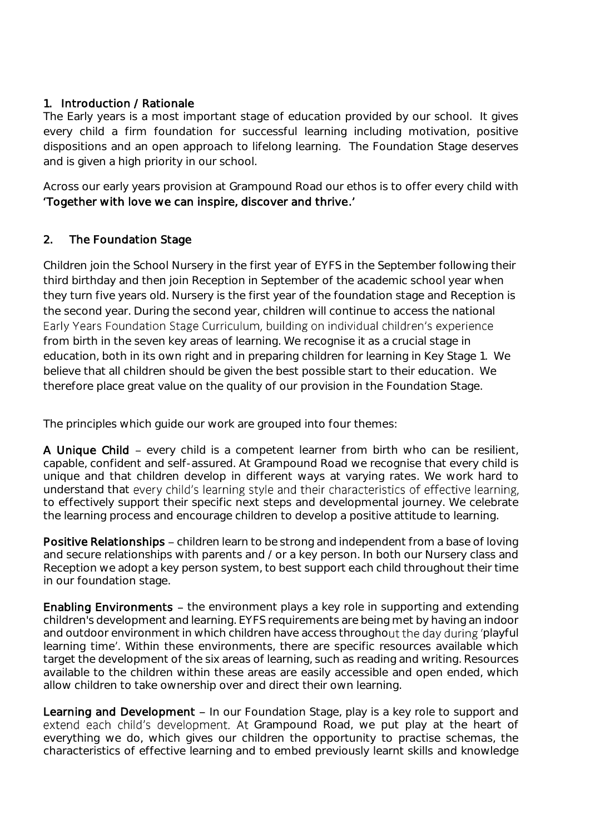## 1. Introduction / Rationale

The Early years is a most important stage of education provided by our school. It gives every child a firm foundation for successful learning including motivation, positive dispositions and an open approach to lifelong learning. The Foundation Stage deserves and is given a high priority in our school.

Across our early years provision at Grampound Road our ethos is to offer every child with Together with love we can inspire, discover and thrive.

## 2. The Foundation Stage

Children join the School Nursery in the first year of EYFS in the September following their third birthday and then join Reception in September of the academic school year when they turn five years old. Nursery is the first year of the foundation stage and Reception is the second year. During the second year, children will continue to access the national Early Years Foundation Stage Curriculum, building on individual children's experience from birth in the seven key areas of learning. We recognise it as a crucial stage in education, both in its own right and in preparing children for learning in Key Stage 1. We believe that all children should be given the best possible start to their education. We therefore place great value on the quality of our provision in the Foundation Stage.

The principles which guide our work are grouped into four themes:

A Unique Child – every child is a competent learner from birth who can be resilient. capable, confident and self-assured. At Grampound Road we recognise that every child is unique and that children develop in different ways at varying rates. We work hard to understand that every child's learning style and their characteristics of effective learning, to effectively support their specific next steps and developmental journey. We celebrate the learning process and encourage children to develop a positive attitude to learning.

Positive Relationships – children learn to be strong and independent from a base of loving and secure relationships with parents and / or a key person. In both our Nursery class and Reception we adopt a key person system, to best support each child throughout their time in our foundation stage.

Enabling Environments - the environment plays a key role in supporting and extending children's development and learning. EYFS requirements are being met by having an indoor and outdoor environment in which children have access throughout the day during 'playful learning time'. Within these environments, there are specific resources available which target the development of the six areas of learning, such as reading and writing. Resources available to the children within these areas are easily accessible and open ended, which allow children to take ownership over and direct their own learning.

Learning and Development - In our Foundation Stage, play is a key role to support and extend each child's development. At Grampound Road, we put play at the heart of everything we do, which gives our children the opportunity to practise schemas, the characteristics of effective learning and to embed previously learnt skills and knowledge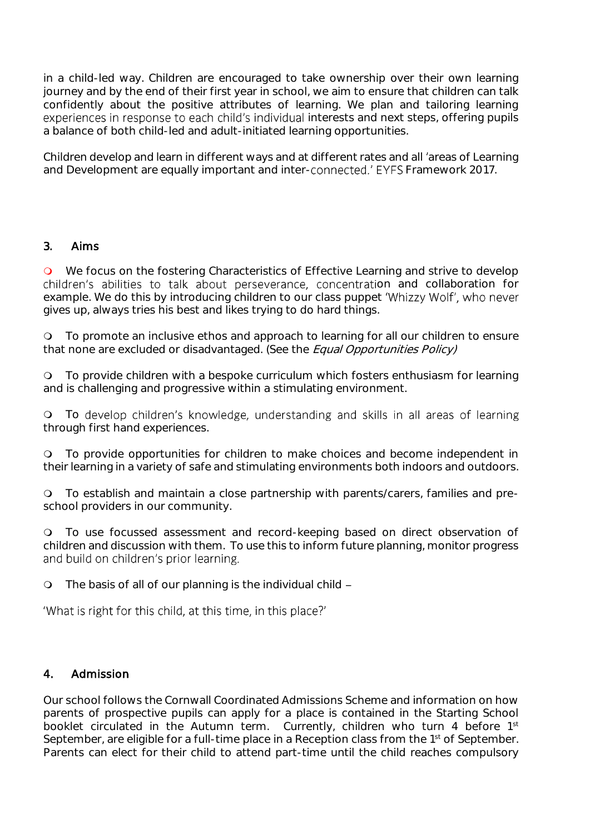in a child-led way. Children are encouraged to take ownership over their own learning journey and by the end of their first year in school, we aim to ensure that children can talk confidently about the positive attributes of learning. We plan and tailoring learning experiences in response to each child's individual interests and next steps, offering pupils a balance of both child-led and adult-initiated learning opportunities.

Children develop and learn in different ways and at different rates and all 'areas of Learning and Development are equally important and inter-connected.' EYFS Framework 2017.

#### 3. Aims

O We focus on the fostering Characteristics of Effective Learning and strive to develop children's abilities to talk about perseverance, concentration and collaboration for example. We do this by introducing children to our class puppet 'Whizzy Wolf', who never gives up, always tries his best and likes trying to do hard things.

 To promote an inclusive ethos and approach to learning for all our children to ensure that none are excluded or disadvantaged. (See the Equal Opportunities Policy)

 To provide children with a bespoke curriculum which fosters enthusiasm for learning and is challenging and progressive within a stimulating environment.

O To develop children's knowledge, understanding and skills in all areas of learning through first hand experiences.

 To provide opportunities for children to make choices and become independent in their learning in a variety of safe and stimulating environments both indoors and outdoors.

 To establish and maintain a close partnership with parents/carers, families and preschool providers in our community.

 To use focussed assessment and record-keeping based on direct observation of children and discussion with them. To use this to inform future planning, monitor progress and build on children's prior learning.

The basis of all of our planning is the individual child

'What is right for this child, at this time, in this place?'

#### 4. Admission

Our school follows the Cornwall Coordinated Admissions Scheme and information on how parents of prospective pupils can apply for a place is contained in the Starting School booklet circulated in the Autumn term. Currently, children who turn 4 before 1st September, are eligible for a full-time place in a Reception class from the 1<sup>st</sup> of September. Parents can elect for their child to attend part-time until the child reaches compulsory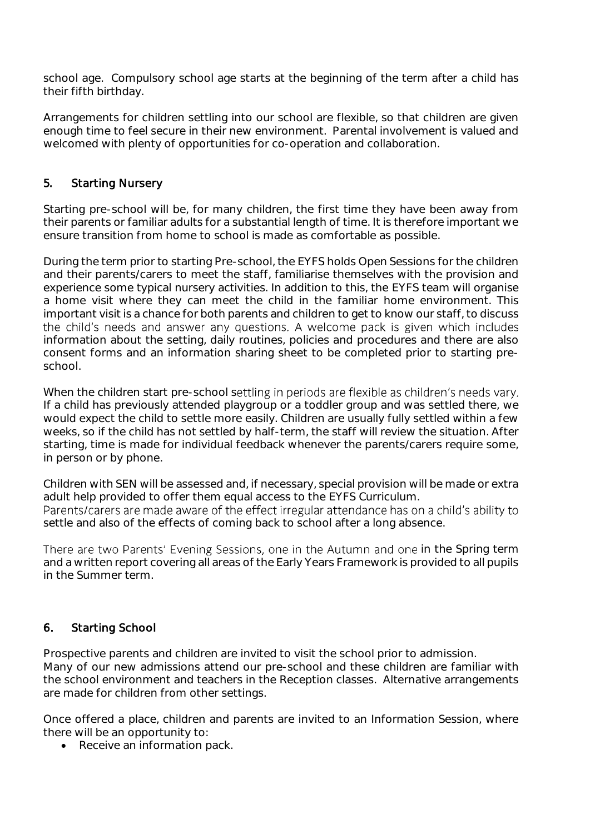school age. Compulsory school age starts at the beginning of the term after a child has their fifth birthday.

Arrangements for children settling into our school are flexible, so that children are given enough time to feel secure in their new environment. Parental involvement is valued and welcomed with plenty of opportunities for co-operation and collaboration.

## 5. Starting Nursery

Starting pre-school will be, for many children, the first time they have been away from their parents or familiar adults for a substantial length of time. It is therefore important we ensure transition from home to school is made as comfortable as possible.

During the term prior to starting Pre-school, the EYFS holds Open Sessions for the children and their parents/carers to meet the staff, familiarise themselves with the provision and experience some typical nursery activities. In addition to this, the EYFS team will organise a home visit where they can meet the child in the familiar home environment. This important visit is a chance for both parents and children to get to know our staff, to discuss the child's needs and answer any questions. A welcome pack is given which includes information about the setting, daily routines, policies and procedures and there are also consent forms and an information sharing sheet to be completed prior to starting preschool.

When the children start pre-school settling in periods are flexible as children's needs vary. If a child has previously attended playgroup or a toddler group and was settled there, we would expect the child to settle more easily. Children are usually fully settled within a few weeks, so if the child has not settled by half-term, the staff will review the situation. After starting, time is made for individual feedback whenever the parents/carers require some, in person or by phone.

Children with SEN will be assessed and, if necessary, special provision will be made or extra adult help provided to offer them equal access to the EYFS Curriculum. Parents/carers are made aware of the effect irregular attendance has on a child's ability to settle and also of the effects of coming back to school after a long absence.

There are two Parents' Evening Sessions, one in the Autumn and one in the Spring term and a written report covering all areas of the Early Years Framework is provided to all pupils in the Summer term.

## 6. Starting School

Prospective parents and children are invited to visit the school prior to admission. Many of our new admissions attend our pre-school and these children are familiar with the school environment and teachers in the Reception classes. Alternative arrangements are made for children from other settings.

Once offered a place, children and parents are invited to an Information Session, where there will be an opportunity to:

• Receive an information pack.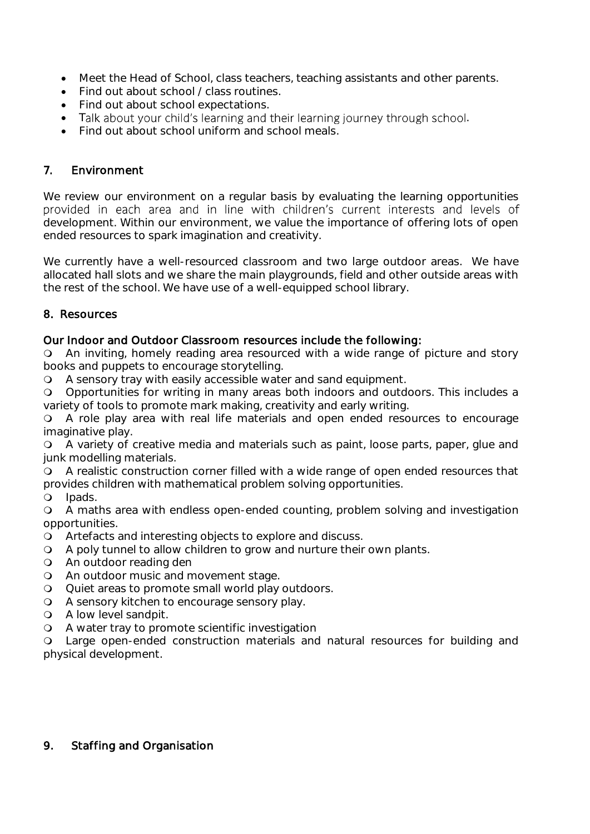- Meet the Head of School, class teachers, teaching assistants and other parents.
- Find out about school / class routines.
- Find out about school expectations.
- Talk about your child's learning and their learning journey through school.
- Find out about school uniform and school meals.

### 7. Environment

We review our environment on a regular basis by evaluating the learning opportunities provided in each area and in line with children's current interests and levels of development. Within our environment, we value the importance of offering lots of open ended resources to spark imagination and creativity.

We currently have a well-resourced classroom and two large outdoor areas. We have allocated hall slots and we share the main playgrounds, field and other outside areas with the rest of the school. We have use of a well-equipped school library.

#### 8. Resources

#### Our Indoor and Outdoor Classroom resources include the following:

 An inviting, homely reading area resourced with a wide range of picture and story books and puppets to encourage storytelling.

A sensory tray with easily accessible water and sand equipment.

 Opportunities for writing in many areas both indoors and outdoors. This includes a variety of tools to promote mark making, creativity and early writing.

 A role play area with real life materials and open ended resources to encourage imaginative play.

 A variety of creative media and materials such as paint, loose parts, paper, glue and junk modelling materials.

 A realistic construction corner filled with a wide range of open ended resources that provides children with mathematical problem solving opportunities.

**Q** lpads.

 A maths area with endless open-ended counting, problem solving and investigation opportunities.

- Artefacts and interesting objects to explore and discuss.
- A poly tunnel to allow children to grow and nurture their own plants.
- An outdoor reading den
- An outdoor music and movement stage.
- Quiet areas to promote small world play outdoors.
- A sensory kitchen to encourage sensory play.
- A low level sandpit.
- A water tray to promote scientific investigation

 Large open-ended construction materials and natural resources for building and physical development.

#### 9. Staffing and Organisation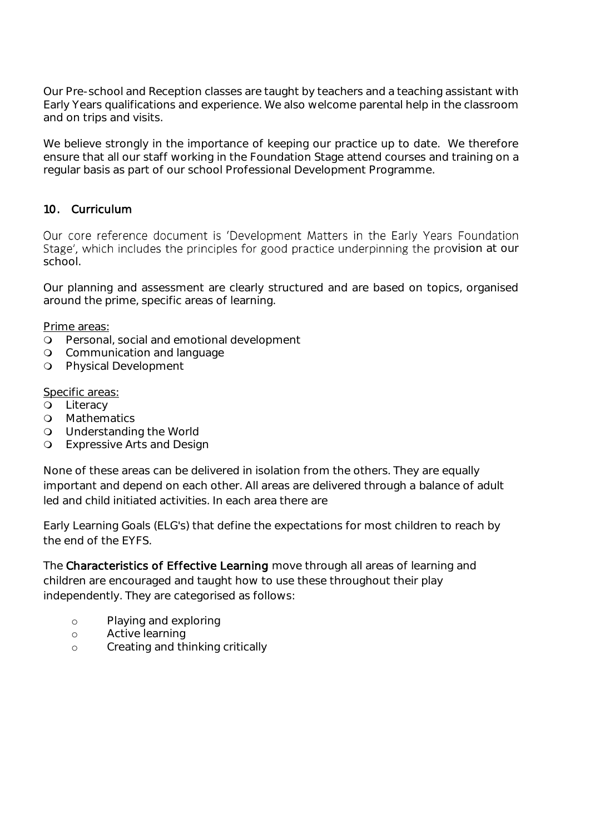Our Pre-school and Reception classes are taught by teachers and a teaching assistant with Early Years qualifications and experience. We also welcome parental help in the classroom and on trips and visits.

We believe strongly in the importance of keeping our practice up to date. We therefore ensure that all our staff working in the Foundation Stage attend courses and training on a regular basis as part of our school Professional Development Programme.

## 10. Curriculum

Our core reference document is 'Development Matters in the Early Years Foundation Stage', which includes the principles for good practice underpinning the provision at our school.

Our planning and assessment are clearly structured and are based on topics, organised around the prime, specific areas of learning.

Prime areas:

- Personal, social and emotional development
- **Q** Communication and language
- **Q** Physical Development

#### Specific areas:

- **Q** Literacy
- **Q** Mathematics
- Understanding the World
- Expressive Arts and Design

None of these areas can be delivered in isolation from the others. They are equally important and depend on each other. All areas are delivered through a balance of adult led and child initiated activities. In each area there are

Early Learning Goals (ELG's) that define the expectations for most children to reach by the end of the EYFS.

The Characteristics of Effective Learning move through all areas of learning and children are encouraged and taught how to use these throughout their play independently. They are categorised as follows:

- o Playing and exploring
- o Active learning
- o Creating and thinking critically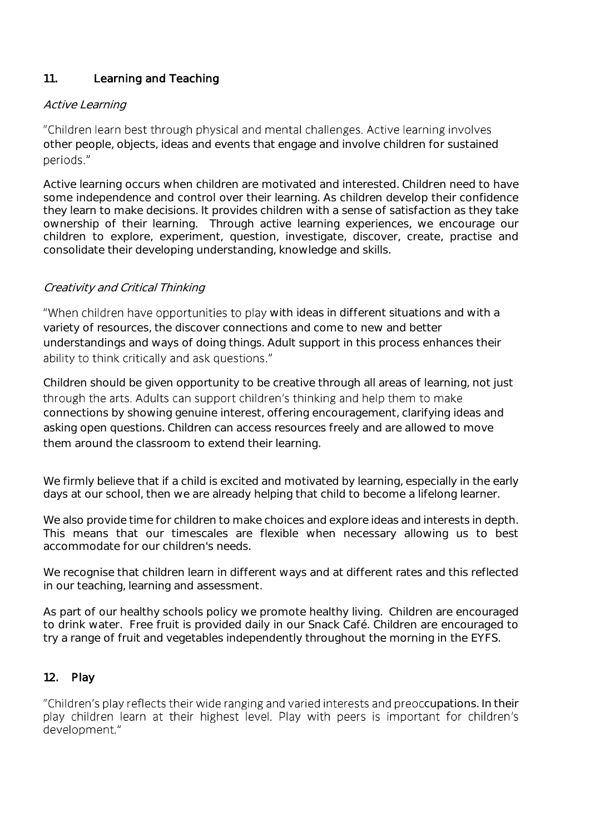## 11. Learning and Teaching

### Active Learning

"Children learn best through physical and mental challenges. Active learning involves other people, objects, ideas and events that engage and involve children for sustained periods."

Active learning occurs when children are motivated and interested. Children need to have some independence and control over their learning. As children develop their confidence they learn to make decisions. It provides children with a sense of satisfaction as they take ownership of their learning. Through active learning experiences, we encourage our children to explore, experiment, question, investigate, discover, create, practise and consolidate their developing understanding, knowledge and skills.

## Creativity and Critical Thinking

"When children have opportunities to play with ideas in different situations and with a variety of resources, the discover connections and come to new and better understandings and ways of doing things. Adult support in this process enhances their ability to think critically and ask questions."

Children should be given opportunity to be creative through all areas of learning, not just through the arts. Adults can support children's thinking and help them to make connections by showing genuine interest, offering encouragement, clarifying ideas and asking open questions. Children can access resources freely and are allowed to move them around the classroom to extend their learning.

We firmly believe that if a child is excited and motivated by learning, especially in the early days at our school, then we are already helping that child to become a lifelong learner.

We also provide time for children to make choices and explore ideas and interests in depth. This means that our timescales are flexible when necessary allowing us to best accommodate for our children's needs.

We recognise that children learn in different ways and at different rates and this reflected in our teaching, learning and assessment.

As part of our healthy schools policy we promote healthy living. Children are encouraged to drink water. Free fruit is provided daily in our Snack Café. Children are encouraged to try a range of fruit and vegetables independently throughout the morning in the EYFS.

## 12. Play

"Children's play reflects their wide ranging and varied interests and preoccupations. In their play children learn at their highest level. Play with peers is important for children's development."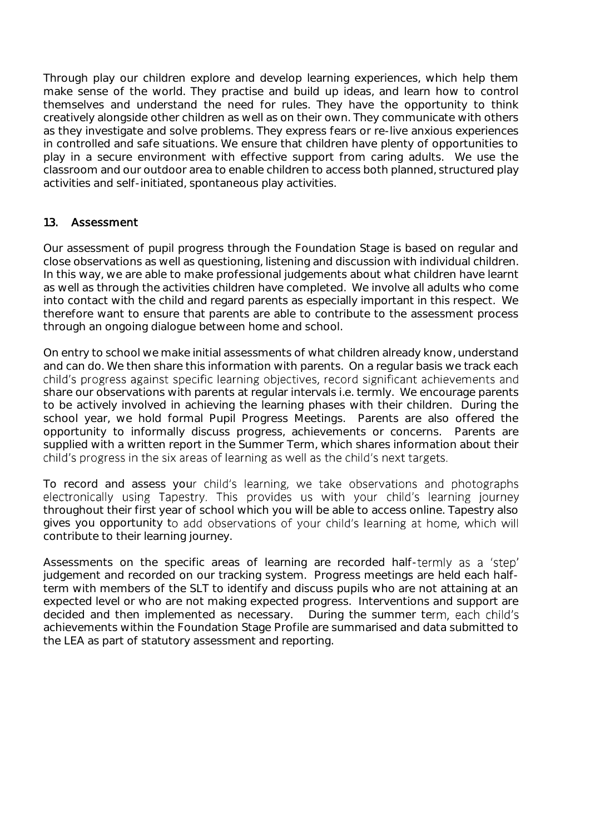Through play our children explore and develop learning experiences, which help them make sense of the world. They practise and build up ideas, and learn how to control themselves and understand the need for rules. They have the opportunity to think creatively alongside other children as well as on their own. They communicate with others as they investigate and solve problems. They express fears or re-live anxious experiences in controlled and safe situations. We ensure that children have plenty of opportunities to play in a secure environment with effective support from caring adults. We use the classroom and our outdoor area to enable children to access both planned, structured play activities and self-initiated, spontaneous play activities.

## 13. Assessment

Our assessment of pupil progress through the Foundation Stage is based on regular and close observations as well as questioning, listening and discussion with individual children. In this way, we are able to make professional judgements about what children have learnt as well as through the activities children have completed. We involve all adults who come into contact with the child and regard parents as especially important in this respect. We therefore want to ensure that parents are able to contribute to the assessment process through an ongoing dialogue between home and school.

On entry to school we make initial assessments of what children already know, understand and can do. We then share this information with parents. On a regular basis we track each child's progress against specific learning objectives, record significant achievements and share our observations with parents at regular intervals i.e. termly. We encourage parents to be actively involved in achieving the learning phases with their children. During the school year, we hold formal Pupil Progress Meetings. Parents are also offered the opportunity to informally discuss progress, achievements or concerns. Parents are supplied with a written report in the Summer Term, which shares information about their child's progress in the six areas of learning as well as the child's next targets.

To record and assess your child's learning, we take observations and photographs electronically using Tapestry. This provides us with your child's learning journey throughout their first year of school which you will be able to access online. Tapestry also gives you opportunity to add observations of your child's learning at home, which will contribute to their learning journey.

Assessments on the specific areas of learning are recorded half-termly as a 'step' judgement and recorded on our tracking system. Progress meetings are held each halfterm with members of the SLT to identify and discuss pupils who are not attaining at an expected level or who are not making expected progress. Interventions and support are decided and then implemented as necessary. During the summer term, each child's achievements within the Foundation Stage Profile are summarised and data submitted to the LEA as part of statutory assessment and reporting.